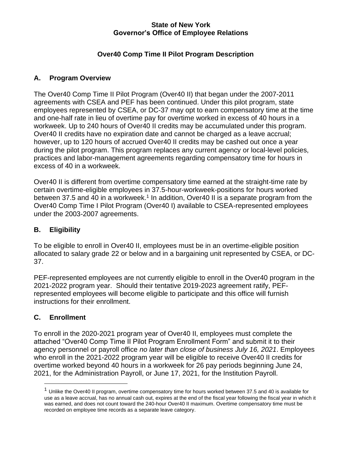#### **State of New York Governor's Office of Employee Relations**

# **Over40 Comp Time II Pilot Program Description**

### **A. Program Overview**

The Over40 Comp Time II Pilot Program (Over40 II) that began under the 2007-2011 agreements with CSEA and PEF has been continued. Under this pilot program, state employees represented by CSEA, or DC-37 may opt to earn compensatory time at the time and one-half rate in lieu of overtime pay for overtime worked in excess of 40 hours in a workweek. Up to 240 hours of Over40 II credits may be accumulated under this program. Over40 II credits have no expiration date and cannot be charged as a leave accrual; however, up to 120 hours of accrued Over40 II credits may be cashed out once a year during the pilot program. This program replaces any current agency or local-level policies, practices and labor-management agreements regarding compensatory time for hours in excess of 40 in a workweek.

Over40 II is different from overtime compensatory time earned at the straight-time rate by certain overtime-eligible employees in 37.5-hour-workweek-positions for hours worked between 37.5 and 40 in a workweek.<sup>1</sup> In addition, Over40 II is a separate program from the Over40 Comp Time I Pilot Program (Over40 I) available to CSEA-represented employees under the 2003-2007 agreements.

### **B. Eligibility**

To be eligible to enroll in Over40 II, employees must be in an overtime-eligible position allocated to salary grade 22 or below and in a bargaining unit represented by CSEA, or DC-37.

PEF-represented employees are not currently eligible to enroll in the Over40 program in the 2021-2022 program year. Should their tentative 2019-2023 agreement ratify, PEFrepresented employees will become eligible to participate and this office will furnish instructions for their enrollment.

### **C. Enrollment**

To enroll in the 2020-2021 program year of Over40 II, employees must complete the attached "Over40 Comp Time II Pilot Program Enrollment Form" and submit it to their agency personnel or payroll office *no later than close of business July 16, 2021*. Employees who enroll in the 2021-2022 program year will be eligible to receive Over40 II credits for overtime worked beyond 40 hours in a workweek for 26 pay periods beginning June 24, 2021, for the Administration Payroll, or June 17, 2021, for the Institution Payroll.

<sup>&</sup>lt;sup>1</sup> Unlike the Over40 II program, overtime compensatory time for hours worked between 37.5 and 40 is available for use as a leave accrual, has no annual cash out, expires at the end of the fiscal year following the fiscal year in which it was earned, and does not count toward the 240-hour Over40 II maximum. Overtime compensatory time must be recorded on employee time records as a separate leave category.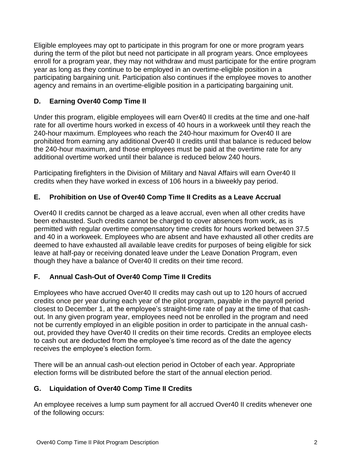Eligible employees may opt to participate in this program for one or more program years during the term of the pilot but need not participate in all program years. Once employees enroll for a program year, they may not withdraw and must participate for the entire program year as long as they continue to be employed in an overtime-eligible position in a participating bargaining unit. Participation also continues if the employee moves to another agency and remains in an overtime-eligible position in a participating bargaining unit.

# **D. Earning Over40 Comp Time II**

Under this program, eligible employees will earn Over40 II credits at the time and one-half rate for all overtime hours worked in excess of 40 hours in a workweek until they reach the 240-hour maximum. Employees who reach the 240-hour maximum for Over40 II are prohibited from earning any additional Over40 II credits until that balance is reduced below the 240-hour maximum, and those employees must be paid at the overtime rate for any additional overtime worked until their balance is reduced below 240 hours.

Participating firefighters in the Division of Military and Naval Affairs will earn Over40 II credits when they have worked in excess of 106 hours in a biweekly pay period.

# **E. Prohibition on Use of Over40 Comp Time II Credits as a Leave Accrual**

Over40 II credits cannot be charged as a leave accrual, even when all other credits have been exhausted. Such credits cannot be charged to cover absences from work, as is permitted with regular overtime compensatory time credits for hours worked between 37.5 and 40 in a workweek. Employees who are absent and have exhausted all other credits are deemed to have exhausted all available leave credits for purposes of being eligible for sick leave at half-pay or receiving donated leave under the Leave Donation Program, even though they have a balance of Over40 II credits on their time record.

### **F. Annual Cash-Out of Over40 Comp Time II Credits**

Employees who have accrued Over40 II credits may cash out up to 120 hours of accrued credits once per year during each year of the pilot program, payable in the payroll period closest to December 1, at the employee's straight-time rate of pay at the time of that cashout. In any given program year, employees need not be enrolled in the program and need not be currently employed in an eligible position in order to participate in the annual cashout, provided they have Over40 II credits on their time records. Credits an employee elects to cash out are deducted from the employee's time record as of the date the agency receives the employee's election form.

There will be an annual cash-out election period in October of each year. Appropriate election forms will be distributed before the start of the annual election period.

# **G. Liquidation of Over40 Comp Time II Credits**

An employee receives a lump sum payment for all accrued Over40 II credits whenever one of the following occurs: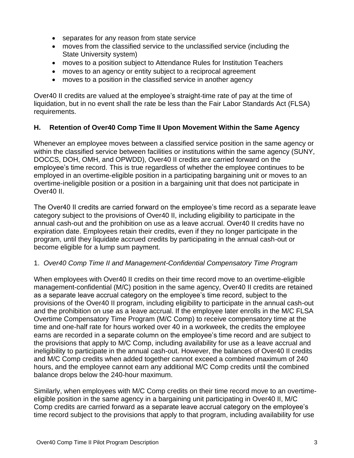- separates for any reason from state service
- moves from the classified service to the unclassified service (including the State University system)
- moves to a position subject to Attendance Rules for Institution Teachers
- moves to an agency or entity subject to a reciprocal agreement
- moves to a position in the classified service in another agency

Over40 II credits are valued at the employee's straight-time rate of pay at the time of liquidation, but in no event shall the rate be less than the Fair Labor Standards Act (FLSA) requirements.

### **H. Retention of Over40 Comp Time II Upon Movement Within the Same Agency**

Whenever an employee moves between a classified service position in the same agency or within the classified service between facilities or institutions within the same agency (SUNY, DOCCS, DOH, OMH, and OPWDD), Over40 II credits are carried forward on the employee's time record. This is true regardless of whether the employee continues to be employed in an overtime-eligible position in a participating bargaining unit or moves to an overtime-ineligible position or a position in a bargaining unit that does not participate in Over40 II.

The Over40 II credits are carried forward on the employee's time record as a separate leave category subject to the provisions of Over40 II, including eligibility to participate in the annual cash-out and the prohibition on use as a leave accrual. Over40 II credits have no expiration date. Employees retain their credits, even if they no longer participate in the program, until they liquidate accrued credits by participating in the annual cash-out or become eligible for a lump sum payment.

### 1. *Over40 Comp Time II and Management-Confidential Compensatory Time Program*

When employees with Over40 II credits on their time record move to an overtime-eligible management-confidential (M/C) position in the same agency, Over40 II credits are retained as a separate leave accrual category on the employee's time record, subject to the provisions of the Over40 II program, including eligibility to participate in the annual cash-out and the prohibition on use as a leave accrual. If the employee later enrolls in the M/C FLSA Overtime Compensatory Time Program (M/C Comp) to receive compensatory time at the time and one-half rate for hours worked over 40 in a workweek, the credits the employee earns are recorded in a separate column on the employee's time record and are subject to the provisions that apply to M/C Comp, including availability for use as a leave accrual and ineligibility to participate in the annual cash-out. However, the balances of Over40 II credits and M/C Comp credits when added together cannot exceed a combined maximum of 240 hours, and the employee cannot earn any additional M/C Comp credits until the combined balance drops below the 240-hour maximum.

Similarly, when employees with M/C Comp credits on their time record move to an overtimeeligible position in the same agency in a bargaining unit participating in Over40 II, M/C Comp credits are carried forward as a separate leave accrual category on the employee's time record subject to the provisions that apply to that program, including availability for use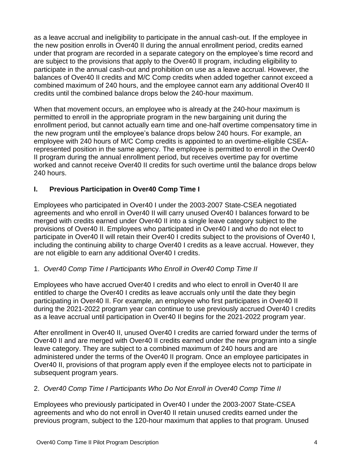as a leave accrual and ineligibility to participate in the annual cash-out. If the employee in the new position enrolls in Over40 II during the annual enrollment period, credits earned under that program are recorded in a separate category on the employee's time record and are subject to the provisions that apply to the Over40 II program, including eligibility to participate in the annual cash-out and prohibition on use as a leave accrual. However, the balances of Over40 II credits and M/C Comp credits when added together cannot exceed a combined maximum of 240 hours, and the employee cannot earn any additional Over40 II credits until the combined balance drops below the 240-hour maximum.

When that movement occurs, an employee who is already at the 240-hour maximum is permitted to enroll in the appropriate program in the new bargaining unit during the enrollment period, but cannot actually earn time and one-half overtime compensatory time in the new program until the employee's balance drops below 240 hours. For example, an employee with 240 hours of M/C Comp credits is appointed to an overtime-eligible CSEArepresented position in the same agency. The employee is permitted to enroll in the Over40 II program during the annual enrollment period, but receives overtime pay for overtime worked and cannot receive Over40 II credits for such overtime until the balance drops below 240 hours.

# **I. Previous Participation in Over40 Comp Time I**

Employees who participated in Over40 I under the 2003-2007 State-CSEA negotiated agreements and who enroll in Over40 II will carry unused Over40 I balances forward to be merged with credits earned under Over40 II into a single leave category subject to the provisions of Over40 II. Employees who participated in Over40 I and who do not elect to participate in Over40 II will retain their Over40 I credits subject to the provisions of Over40 I, including the continuing ability to charge Over40 I credits as a leave accrual. However, they are not eligible to earn any additional Over40 I credits.

### 1. *Over40 Comp Time I Participants Who Enroll in Over40 Comp Time II*

Employees who have accrued Over40 I credits and who elect to enroll in Over40 II are entitled to charge the Over40 I credits as leave accruals only until the date they begin participating in Over40 II. For example, an employee who first participates in Over40 II during the 2021-2022 program year can continue to use previously accrued Over40 I credits as a leave accrual until participation in Over40 II begins for the 2021-2022 program year.

After enrollment in Over40 II, unused Over40 I credits are carried forward under the terms of Over40 II and are merged with Over40 II credits earned under the new program into a single leave category. They are subject to a combined maximum of 240 hours and are administered under the terms of the Over40 II program. Once an employee participates in Over40 II, provisions of that program apply even if the employee elects not to participate in subsequent program years.

### 2. *Over40 Comp Time I Participants Who Do Not Enroll in Over40 Comp Time II*

Employees who previously participated in Over40 I under the 2003-2007 State-CSEA agreements and who do not enroll in Over40 II retain unused credits earned under the previous program, subject to the 120-hour maximum that applies to that program. Unused